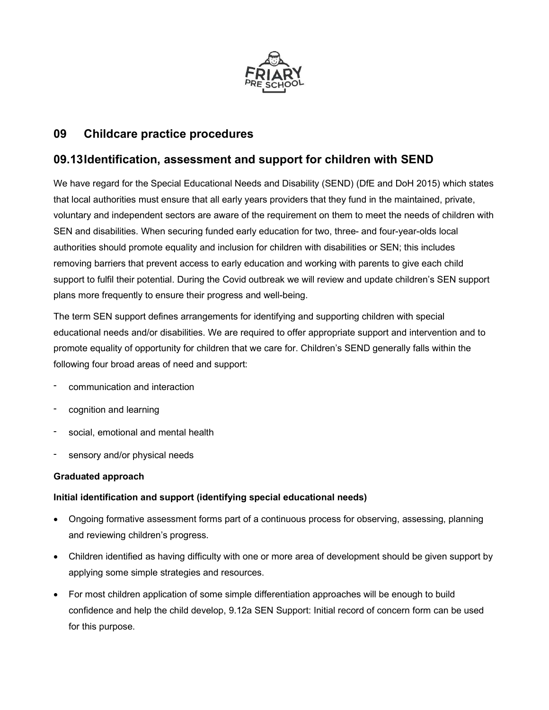

# 09 Childcare practice procedures

# 09.13 Identification, assessment and support for children with SEND

We have regard for the Special Educational Needs and Disability (SEND) (DfE and DoH 2015) which states that local authorities must ensure that all early years providers that they fund in the maintained, private, voluntary and independent sectors are aware of the requirement on them to meet the needs of children with SEN and disabilities. When securing funded early education for two, three- and four-year-olds local authorities should promote equality and inclusion for children with disabilities or SEN; this includes removing barriers that prevent access to early education and working with parents to give each child support to fulfil their potential. During the Covid outbreak we will review and update children's SEN support plans more frequently to ensure their progress and well-being.

The term SEN support defines arrangements for identifying and supporting children with special educational needs and/or disabilities. We are required to offer appropriate support and intervention and to promote equality of opportunity for children that we care for. Children's SEND generally falls within the following four broad areas of need and support:

- communication and interaction
- cognition and learning
- social, emotional and mental health
- sensory and/or physical needs

# Graduated approach

# Initial identification and support (identifying special educational needs)

- Ongoing formative assessment forms part of a continuous process for observing, assessing, planning and reviewing children's progress.
- Children identified as having difficulty with one or more area of development should be given support by applying some simple strategies and resources.
- For most children application of some simple differentiation approaches will be enough to build confidence and help the child develop, 9.12a SEN Support: Initial record of concern form can be used for this purpose.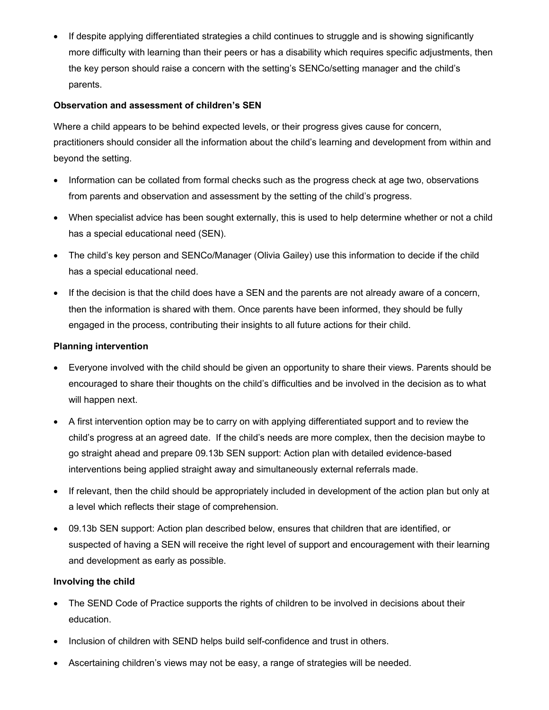• If despite applying differentiated strategies a child continues to struggle and is showing significantly more difficulty with learning than their peers or has a disability which requires specific adjustments, then the key person should raise a concern with the setting's SENCo/setting manager and the child's parents.

## Observation and assessment of children's SEN

Where a child appears to be behind expected levels, or their progress gives cause for concern, practitioners should consider all the information about the child's learning and development from within and beyond the setting.

- Information can be collated from formal checks such as the progress check at age two, observations from parents and observation and assessment by the setting of the child's progress.
- When specialist advice has been sought externally, this is used to help determine whether or not a child has a special educational need (SEN).
- The child's key person and SENCo/Manager (Olivia Gailey) use this information to decide if the child has a special educational need.
- If the decision is that the child does have a SEN and the parents are not already aware of a concern, then the information is shared with them. Once parents have been informed, they should be fully engaged in the process, contributing their insights to all future actions for their child.

## Planning intervention

- Everyone involved with the child should be given an opportunity to share their views. Parents should be encouraged to share their thoughts on the child's difficulties and be involved in the decision as to what will happen next.
- A first intervention option may be to carry on with applying differentiated support and to review the child's progress at an agreed date. If the child's needs are more complex, then the decision maybe to go straight ahead and prepare 09.13b SEN support: Action plan with detailed evidence-based interventions being applied straight away and simultaneously external referrals made.
- If relevant, then the child should be appropriately included in development of the action plan but only at a level which reflects their stage of comprehension.
- 09.13b SEN support: Action plan described below, ensures that children that are identified, or suspected of having a SEN will receive the right level of support and encouragement with their learning and development as early as possible.

# Involving the child

- The SEND Code of Practice supports the rights of children to be involved in decisions about their education.
- Inclusion of children with SEND helps build self-confidence and trust in others.
- Ascertaining children's views may not be easy, a range of strategies will be needed.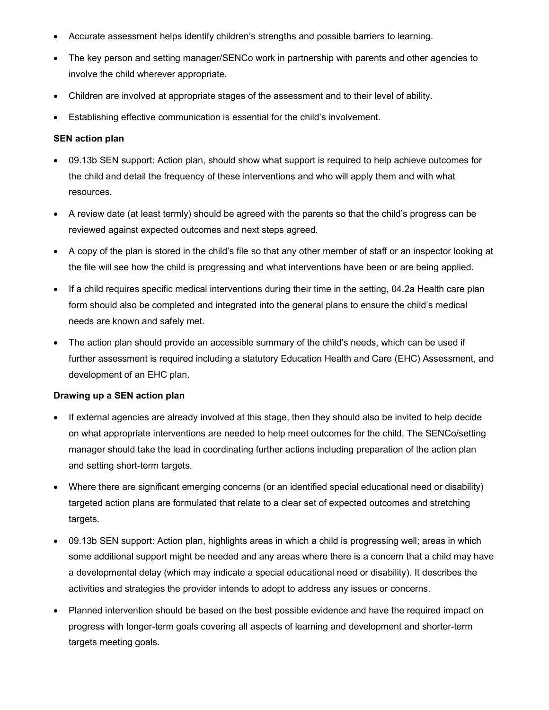- Accurate assessment helps identify children's strengths and possible barriers to learning.
- The key person and setting manager/SENCo work in partnership with parents and other agencies to involve the child wherever appropriate.
- Children are involved at appropriate stages of the assessment and to their level of ability.
- Establishing effective communication is essential for the child's involvement.

#### SEN action plan

- 09.13b SEN support: Action plan, should show what support is required to help achieve outcomes for the child and detail the frequency of these interventions and who will apply them and with what resources.
- A review date (at least termly) should be agreed with the parents so that the child's progress can be reviewed against expected outcomes and next steps agreed.
- A copy of the plan is stored in the child's file so that any other member of staff or an inspector looking at the file will see how the child is progressing and what interventions have been or are being applied.
- If a child requires specific medical interventions during their time in the setting, 04.2a Health care plan form should also be completed and integrated into the general plans to ensure the child's medical needs are known and safely met.
- The action plan should provide an accessible summary of the child's needs, which can be used if further assessment is required including a statutory Education Health and Care (EHC) Assessment, and development of an EHC plan.

#### Drawing up a SEN action plan

- If external agencies are already involved at this stage, then they should also be invited to help decide on what appropriate interventions are needed to help meet outcomes for the child. The SENCo/setting manager should take the lead in coordinating further actions including preparation of the action plan and setting short-term targets.
- Where there are significant emerging concerns (or an identified special educational need or disability) targeted action plans are formulated that relate to a clear set of expected outcomes and stretching targets.
- 09.13b SEN support: Action plan, highlights areas in which a child is progressing well; areas in which some additional support might be needed and any areas where there is a concern that a child may have a developmental delay (which may indicate a special educational need or disability). It describes the activities and strategies the provider intends to adopt to address any issues or concerns.
- Planned intervention should be based on the best possible evidence and have the required impact on progress with longer-term goals covering all aspects of learning and development and shorter-term targets meeting goals.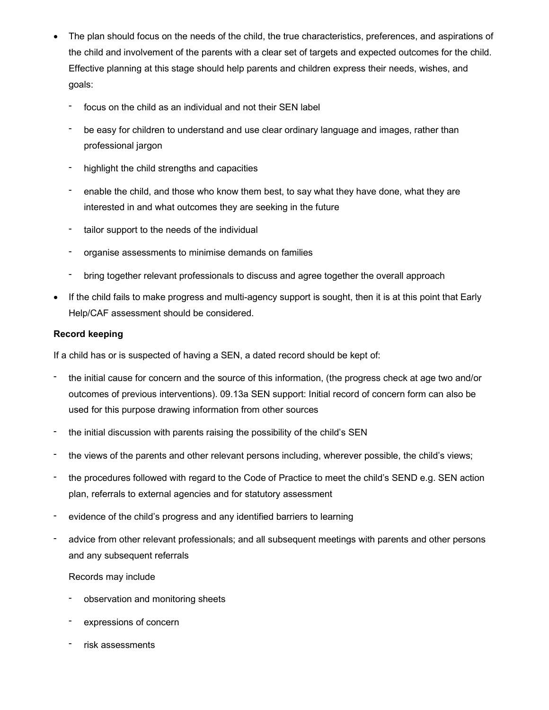- The plan should focus on the needs of the child, the true characteristics, preferences, and aspirations of the child and involvement of the parents with a clear set of targets and expected outcomes for the child. Effective planning at this stage should help parents and children express their needs, wishes, and goals:
	- focus on the child as an individual and not their SEN label
	- be easy for children to understand and use clear ordinary language and images, rather than professional jargon
	- highlight the child strengths and capacities
	- enable the child, and those who know them best, to say what they have done, what they are interested in and what outcomes they are seeking in the future
	- tailor support to the needs of the individual
	- organise assessments to minimise demands on families
	- bring together relevant professionals to discuss and agree together the overall approach
- If the child fails to make progress and multi-agency support is sought, then it is at this point that Early Help/CAF assessment should be considered.

#### Record keeping

If a child has or is suspected of having a SEN, a dated record should be kept of:

- the initial cause for concern and the source of this information, (the progress check at age two and/or outcomes of previous interventions). 09.13a SEN support: Initial record of concern form can also be used for this purpose drawing information from other sources
- the initial discussion with parents raising the possibility of the child's SEN
- the views of the parents and other relevant persons including, wherever possible, the child's views;
- the procedures followed with regard to the Code of Practice to meet the child's SEND e.g. SEN action plan, referrals to external agencies and for statutory assessment
- evidence of the child's progress and any identified barriers to learning
- advice from other relevant professionals; and all subsequent meetings with parents and other persons and any subsequent referrals

#### Records may include

- observation and monitoring sheets
- expressions of concern
- risk assessments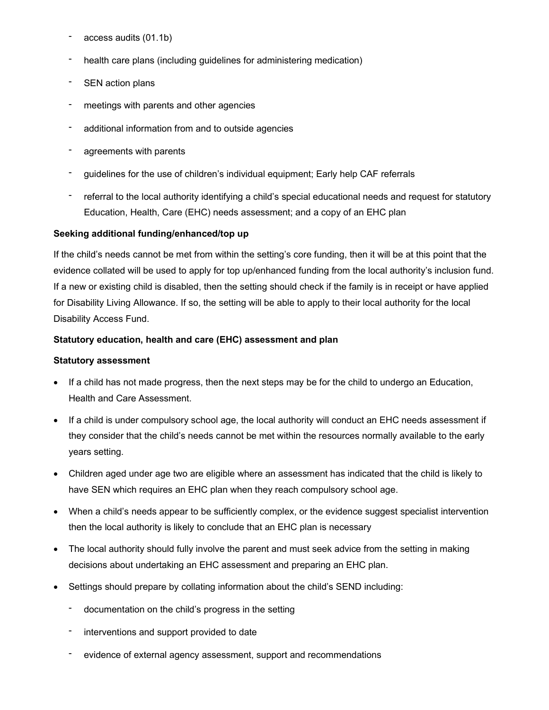- access audits (01.1b)
- health care plans (including guidelines for administering medication)
- SEN action plans
- meetings with parents and other agencies
- additional information from and to outside agencies
- agreements with parents
- guidelines for the use of children's individual equipment; Early help CAF referrals
- referral to the local authority identifying a child's special educational needs and request for statutory Education, Health, Care (EHC) needs assessment; and a copy of an EHC plan

## Seeking additional funding/enhanced/top up

If the child's needs cannot be met from within the setting's core funding, then it will be at this point that the evidence collated will be used to apply for top up/enhanced funding from the local authority's inclusion fund. If a new or existing child is disabled, then the setting should check if the family is in receipt or have applied for Disability Living Allowance. If so, the setting will be able to apply to their local authority for the local Disability Access Fund.

## Statutory education, health and care (EHC) assessment and plan

#### Statutory assessment

- If a child has not made progress, then the next steps may be for the child to undergo an Education, Health and Care Assessment.
- If a child is under compulsory school age, the local authority will conduct an EHC needs assessment if they consider that the child's needs cannot be met within the resources normally available to the early years setting.
- Children aged under age two are eligible where an assessment has indicated that the child is likely to have SEN which requires an EHC plan when they reach compulsory school age.
- When a child's needs appear to be sufficiently complex, or the evidence suggest specialist intervention then the local authority is likely to conclude that an EHC plan is necessary
- The local authority should fully involve the parent and must seek advice from the setting in making decisions about undertaking an EHC assessment and preparing an EHC plan.
- Settings should prepare by collating information about the child's SEND including:
	- documentation on the child's progress in the setting
	- interventions and support provided to date
	- evidence of external agency assessment, support and recommendations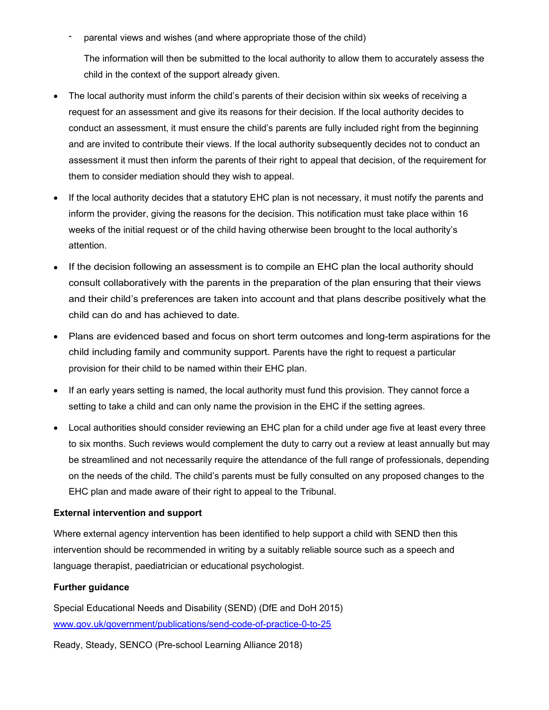parental views and wishes (and where appropriate those of the child)

The information will then be submitted to the local authority to allow them to accurately assess the child in the context of the support already given.

- The local authority must inform the child's parents of their decision within six weeks of receiving a request for an assessment and give its reasons for their decision. If the local authority decides to conduct an assessment, it must ensure the child's parents are fully included right from the beginning and are invited to contribute their views. If the local authority subsequently decides not to conduct an assessment it must then inform the parents of their right to appeal that decision, of the requirement for them to consider mediation should they wish to appeal.
- If the local authority decides that a statutory EHC plan is not necessary, it must notify the parents and inform the provider, giving the reasons for the decision. This notification must take place within 16 weeks of the initial request or of the child having otherwise been brought to the local authority's attention.
- If the decision following an assessment is to compile an EHC plan the local authority should consult collaboratively with the parents in the preparation of the plan ensuring that their views and their child's preferences are taken into account and that plans describe positively what the child can do and has achieved to date.
- Plans are evidenced based and focus on short term outcomes and long-term aspirations for the child including family and community support. Parents have the right to request a particular provision for their child to be named within their EHC plan.
- If an early years setting is named, the local authority must fund this provision. They cannot force a setting to take a child and can only name the provision in the EHC if the setting agrees.
- Local authorities should consider reviewing an EHC plan for a child under age five at least every three to six months. Such reviews would complement the duty to carry out a review at least annually but may be streamlined and not necessarily require the attendance of the full range of professionals, depending on the needs of the child. The child's parents must be fully consulted on any proposed changes to the EHC plan and made aware of their right to appeal to the Tribunal.

#### External intervention and support

Where external agency intervention has been identified to help support a child with SEND then this intervention should be recommended in writing by a suitably reliable source such as a speech and language therapist, paediatrician or educational psychologist.

#### Further guidance

Special Educational Needs and Disability (SEND) (DfE and DoH 2015) www.gov.uk/government/publications/send-code-of-practice-0-to-25

Ready, Steady, SENCO (Pre-school Learning Alliance 2018)